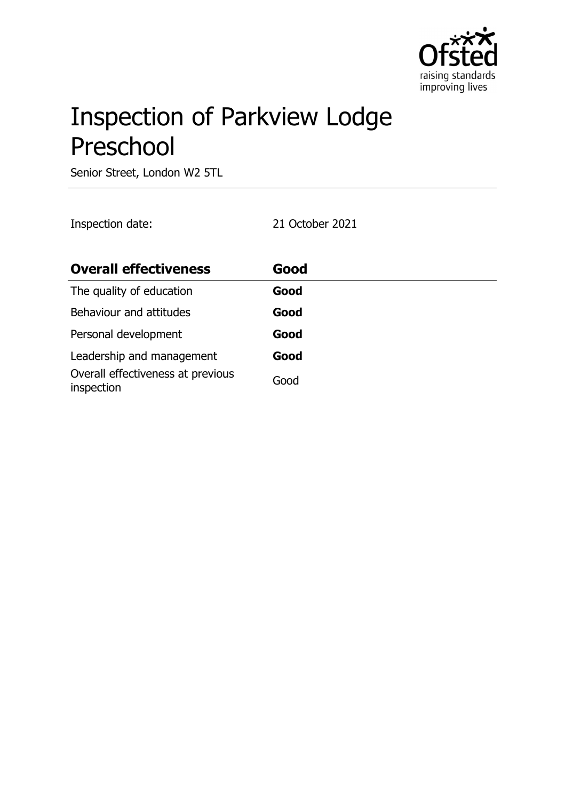

# Inspection of Parkview Lodge Preschool

Senior Street, London W2 5TL

Inspection date: 21 October 2021

| <b>Overall effectiveness</b>                    | Good |
|-------------------------------------------------|------|
| The quality of education                        | Good |
| Behaviour and attitudes                         | Good |
| Personal development                            | Good |
| Leadership and management                       | Good |
| Overall effectiveness at previous<br>inspection | Good |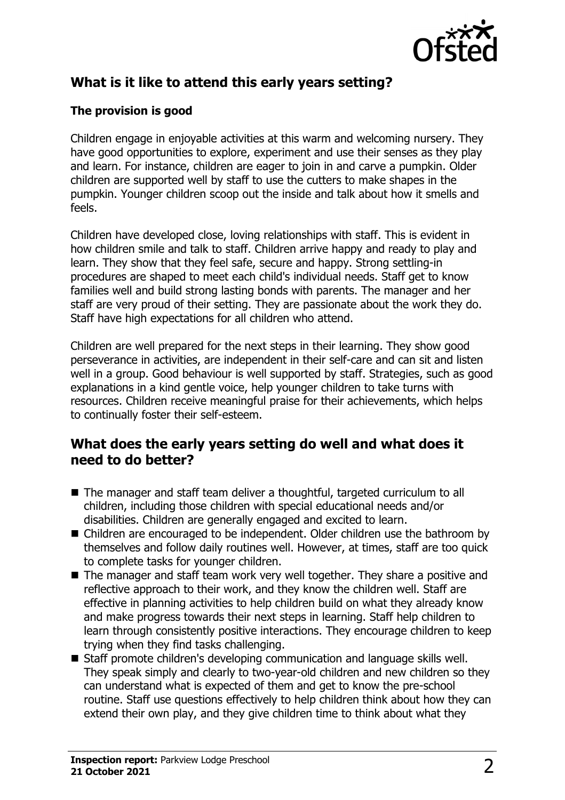

# **What is it like to attend this early years setting?**

### **The provision is good**

Children engage in enjoyable activities at this warm and welcoming nursery. They have good opportunities to explore, experiment and use their senses as they play and learn. For instance, children are eager to join in and carve a pumpkin. Older children are supported well by staff to use the cutters to make shapes in the pumpkin. Younger children scoop out the inside and talk about how it smells and feels.

Children have developed close, loving relationships with staff. This is evident in how children smile and talk to staff. Children arrive happy and ready to play and learn. They show that they feel safe, secure and happy. Strong settling-in procedures are shaped to meet each child's individual needs. Staff get to know families well and build strong lasting bonds with parents. The manager and her staff are very proud of their setting. They are passionate about the work they do. Staff have high expectations for all children who attend.

Children are well prepared for the next steps in their learning. They show good perseverance in activities, are independent in their self-care and can sit and listen well in a group. Good behaviour is well supported by staff. Strategies, such as good explanations in a kind gentle voice, help younger children to take turns with resources. Children receive meaningful praise for their achievements, which helps to continually foster their self-esteem.

## **What does the early years setting do well and what does it need to do better?**

- The manager and staff team deliver a thoughtful, targeted curriculum to all children, including those children with special educational needs and/or disabilities. Children are generally engaged and excited to learn.
- Children are encouraged to be independent. Older children use the bathroom by themselves and follow daily routines well. However, at times, staff are too quick to complete tasks for younger children.
- The manager and staff team work very well together. They share a positive and reflective approach to their work, and they know the children well. Staff are effective in planning activities to help children build on what they already know and make progress towards their next steps in learning. Staff help children to learn through consistently positive interactions. They encourage children to keep trying when they find tasks challenging.
- Staff promote children's developing communication and language skills well. They speak simply and clearly to two-year-old children and new children so they can understand what is expected of them and get to know the pre-school routine. Staff use questions effectively to help children think about how they can extend their own play, and they give children time to think about what they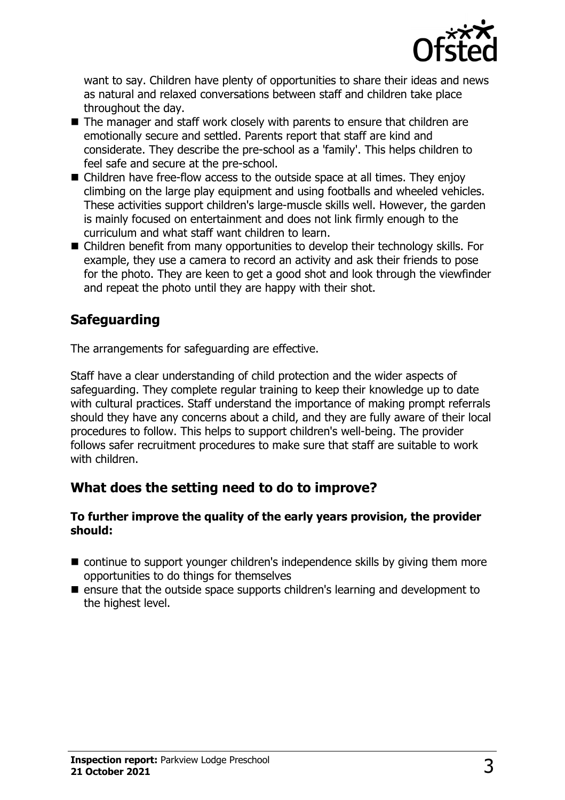

want to say. Children have plenty of opportunities to share their ideas and news as natural and relaxed conversations between staff and children take place throughout the day.

- The manager and staff work closely with parents to ensure that children are emotionally secure and settled. Parents report that staff are kind and considerate. They describe the pre-school as a 'family'. This helps children to feel safe and secure at the pre-school.
- $\blacksquare$  Children have free-flow access to the outside space at all times. They enjoy climbing on the large play equipment and using footballs and wheeled vehicles. These activities support children's large-muscle skills well. However, the garden is mainly focused on entertainment and does not link firmly enough to the curriculum and what staff want children to learn.
- Children benefit from many opportunities to develop their technology skills. For example, they use a camera to record an activity and ask their friends to pose for the photo. They are keen to get a good shot and look through the viewfinder and repeat the photo until they are happy with their shot.

# **Safeguarding**

The arrangements for safeguarding are effective.

Staff have a clear understanding of child protection and the wider aspects of safeguarding. They complete regular training to keep their knowledge up to date with cultural practices. Staff understand the importance of making prompt referrals should they have any concerns about a child, and they are fully aware of their local procedures to follow. This helps to support children's well-being. The provider follows safer recruitment procedures to make sure that staff are suitable to work with children.

# **What does the setting need to do to improve?**

#### **To further improve the quality of the early years provision, the provider should:**

- $\blacksquare$  continue to support younger children's independence skills by giving them more opportunities to do things for themselves
- $\blacksquare$  ensure that the outside space supports children's learning and development to the highest level.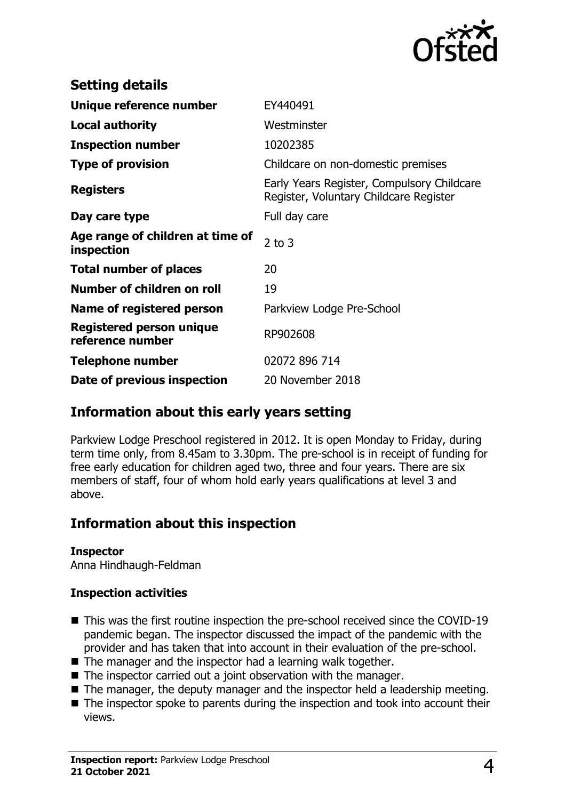

| <b>Setting details</b>                         |                                                                                      |
|------------------------------------------------|--------------------------------------------------------------------------------------|
| Unique reference number                        | EY440491                                                                             |
| <b>Local authority</b>                         | Westminster                                                                          |
| <b>Inspection number</b>                       | 10202385                                                                             |
| <b>Type of provision</b>                       | Childcare on non-domestic premises                                                   |
| <b>Registers</b>                               | Early Years Register, Compulsory Childcare<br>Register, Voluntary Childcare Register |
| Day care type                                  | Full day care                                                                        |
| Age range of children at time of<br>inspection | $2$ to $3$                                                                           |
| <b>Total number of places</b>                  | 20                                                                                   |
| Number of children on roll                     | 19                                                                                   |
| Name of registered person                      | Parkview Lodge Pre-School                                                            |
| Registered person unique<br>reference number   | RP902608                                                                             |
| Telephone number                               | 02072 896 714                                                                        |
| Date of previous inspection                    | 20 November 2018                                                                     |

## **Information about this early years setting**

Parkview Lodge Preschool registered in 2012. It is open Monday to Friday, during term time only, from 8.45am to 3.30pm. The pre-school is in receipt of funding for free early education for children aged two, three and four years. There are six members of staff, four of whom hold early years qualifications at level 3 and above.

## **Information about this inspection**

#### **Inspector**

Anna Hindhaugh-Feldman

#### **Inspection activities**

- This was the first routine inspection the pre-school received since the COVID-19 pandemic began. The inspector discussed the impact of the pandemic with the provider and has taken that into account in their evaluation of the pre-school.
- $\blacksquare$  The manager and the inspector had a learning walk together.
- $\blacksquare$  The inspector carried out a joint observation with the manager.
- $\blacksquare$  The manager, the deputy manager and the inspector held a leadership meeting.
- $\blacksquare$  The inspector spoke to parents during the inspection and took into account their views.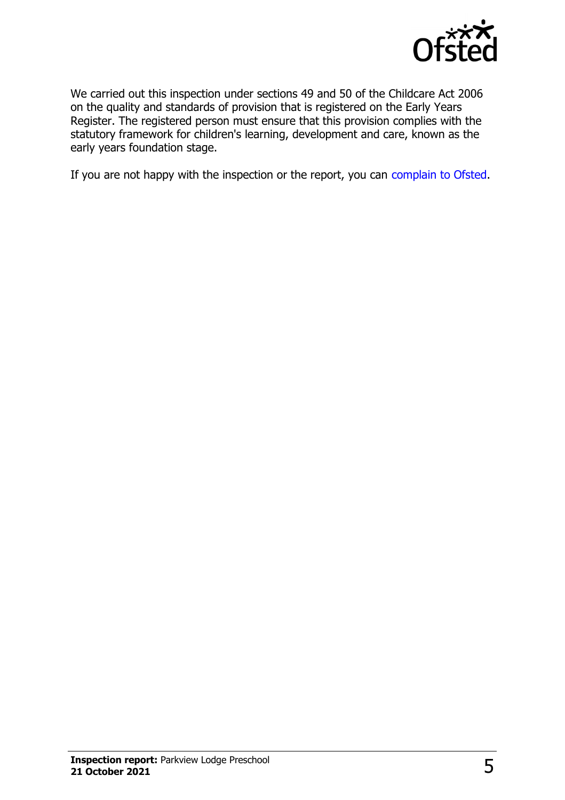

We carried out this inspection under sections 49 and 50 of the Childcare Act 2006 on the quality and standards of provision that is registered on the Early Years Register. The registered person must ensure that this provision complies with the statutory framework for children's learning, development and care, known as the early years foundation stage.

If you are not happy with the inspection or the report, you can [complain to Ofsted](http://www.gov.uk/complain-ofsted-report).